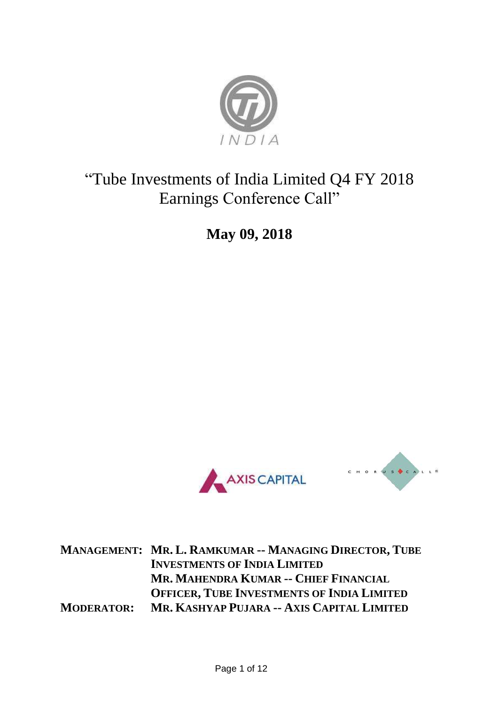

# "Tube Investments of India Limited Q4 FY 2018 Earnings Conference Call"

**May 09, 2018**





**MANAGEMENT: MR. L. RAMKUMAR -- MANAGING DIRECTOR, TUBE INVESTMENTS OF INDIA LIMITED MR. MAHENDRA KUMAR -- CHIEF FINANCIAL OFFICER, TUBE INVESTMENTS OF INDIA LIMITED MODERATOR: MR. KASHYAP PUJARA -- AXIS CAPITAL LIMITED**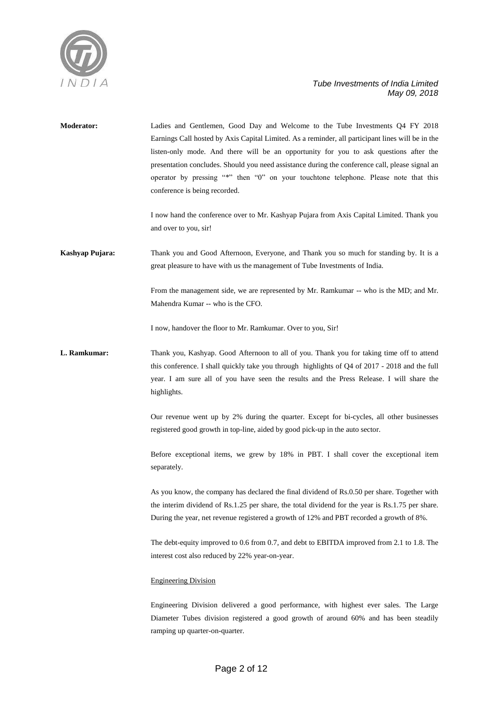

| <b>Moderator:</b> | Ladies and Gentlemen, Good Day and Welcome to the Tube Investments Q4 FY 2018<br>Earnings Call hosted by Axis Capital Limited. As a reminder, all participant lines will be in the<br>listen-only mode. And there will be an opportunity for you to ask questions after the<br>presentation concludes. Should you need assistance during the conference call, please signal an<br>operator by pressing "*" then "0" on your touchtone telephone. Please note that this<br>conference is being recorded.<br>I now hand the conference over to Mr. Kashyap Pujara from Axis Capital Limited. Thank you |
|-------------------|------------------------------------------------------------------------------------------------------------------------------------------------------------------------------------------------------------------------------------------------------------------------------------------------------------------------------------------------------------------------------------------------------------------------------------------------------------------------------------------------------------------------------------------------------------------------------------------------------|
|                   | and over to you, sir!                                                                                                                                                                                                                                                                                                                                                                                                                                                                                                                                                                                |
| Kashyap Pujara:   | Thank you and Good Afternoon, Everyone, and Thank you so much for standing by. It is a<br>great pleasure to have with us the management of Tube Investments of India.                                                                                                                                                                                                                                                                                                                                                                                                                                |
|                   | From the management side, we are represented by Mr. Ramkumar -- who is the MD; and Mr.<br>Mahendra Kumar -- who is the CFO.                                                                                                                                                                                                                                                                                                                                                                                                                                                                          |
|                   | I now, handover the floor to Mr. Ramkumar. Over to you, Sir!                                                                                                                                                                                                                                                                                                                                                                                                                                                                                                                                         |
| L. Ramkumar:      | Thank you, Kashyap. Good Afternoon to all of you. Thank you for taking time off to attend<br>this conference. I shall quickly take you through highlights of Q4 of 2017 - 2018 and the full<br>year. I am sure all of you have seen the results and the Press Release. I will share the<br>highlights.                                                                                                                                                                                                                                                                                               |
|                   | Our revenue went up by 2% during the quarter. Except for bi-cycles, all other businesses<br>registered good growth in top-line, aided by good pick-up in the auto sector.                                                                                                                                                                                                                                                                                                                                                                                                                            |
|                   | Before exceptional items, we grew by 18% in PBT. I shall cover the exceptional item<br>separately.                                                                                                                                                                                                                                                                                                                                                                                                                                                                                                   |
|                   | As you know, the company has declared the final dividend of Rs.0.50 per share. Together with<br>the interim dividend of Rs.1.25 per share, the total dividend for the year is Rs.1.75 per share.<br>During the year, net revenue registered a growth of 12% and PBT recorded a growth of 8%.                                                                                                                                                                                                                                                                                                         |
|                   | The debt-equity improved to 0.6 from 0.7, and debt to EBITDA improved from 2.1 to 1.8. The<br>interest cost also reduced by 22% year-on-year.                                                                                                                                                                                                                                                                                                                                                                                                                                                        |
|                   | <b>Engineering Division</b>                                                                                                                                                                                                                                                                                                                                                                                                                                                                                                                                                                          |
|                   | Engineering Division delivered a good performance, with highest ever sales. The Large<br>Diameter Tubes division registered a good growth of around 60% and has been steadily<br>ramping up quarter-on-quarter.                                                                                                                                                                                                                                                                                                                                                                                      |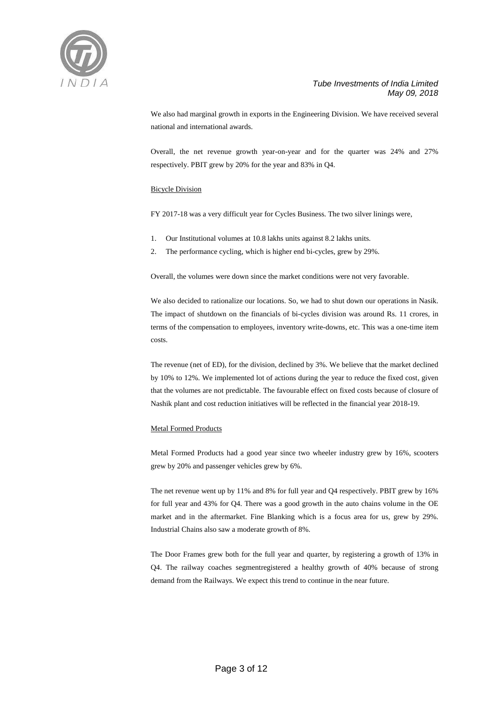

We also had marginal growth in exports in the Engineering Division. We have received several national and international awards.

Overall, the net revenue growth year-on-year and for the quarter was 24% and 27% respectively. PBIT grew by 20% for the year and 83% in Q4.

#### Bicycle Division

FY 2017-18 was a very difficult year for Cycles Business. The two silver linings were,

- 1. Our Institutional volumes at 10.8 lakhs units against 8.2 lakhs units.
- 2. The performance cycling, which is higher end bi-cycles, grew by 29%.

Overall, the volumes were down since the market conditions were not very favorable.

We also decided to rationalize our locations. So, we had to shut down our operations in Nasik. The impact of shutdown on the financials of bi-cycles division was around Rs. 11 crores, in terms of the compensation to employees, inventory write-downs, etc. This was a one-time item costs.

The revenue (net of ED), for the division, declined by 3%. We believe that the market declined by 10% to 12%. We implemented lot of actions during the year to reduce the fixed cost, given that the volumes are not predictable. The favourable effect on fixed costs because of closure of Nashik plant and cost reduction initiatives will be reflected in the financial year 2018-19.

#### Metal Formed Products

Metal Formed Products had a good year since two wheeler industry grew by 16%, scooters grew by 20% and passenger vehicles grew by 6%.

The net revenue went up by 11% and 8% for full year and Q4 respectively. PBIT grew by 16% for full year and 43% for Q4. There was a good growth in the auto chains volume in the OE market and in the aftermarket. Fine Blanking which is a focus area for us, grew by 29%. Industrial Chains also saw a moderate growth of 8%.

The Door Frames grew both for the full year and quarter, by registering a growth of 13% in Q4. The railway coaches segmentregistered a healthy growth of 40% because of strong demand from the Railways. We expect this trend to continue in the near future.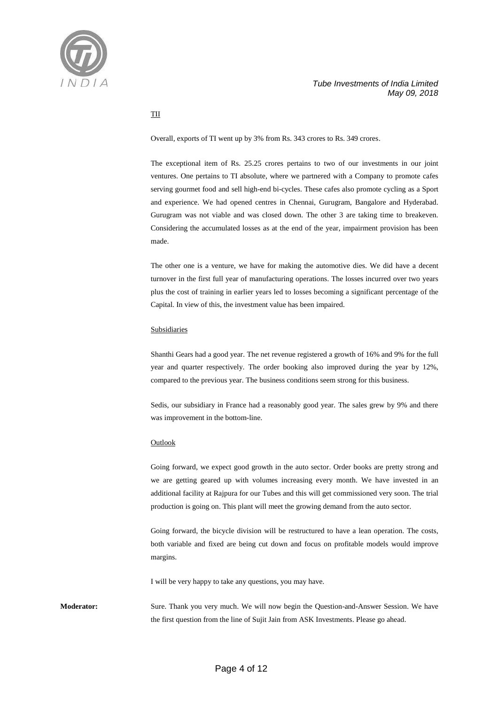

#### TII

Overall, exports of TI went up by 3% from Rs. 343 crores to Rs. 349 crores.

The exceptional item of Rs. 25.25 crores pertains to two of our investments in our joint ventures. One pertains to TI absolute, where we partnered with a Company to promote cafes serving gourmet food and sell high-end bi-cycles. These cafes also promote cycling as a Sport and experience. We had opened centres in Chennai, Gurugram, Bangalore and Hyderabad. Gurugram was not viable and was closed down. The other 3 are taking time to breakeven. Considering the accumulated losses as at the end of the year, impairment provision has been made.

The other one is a venture, we have for making the automotive dies. We did have a decent turnover in the first full year of manufacturing operations. The losses incurred over two years plus the cost of training in earlier years led to losses becoming a significant percentage of the Capital. In view of this, the investment value has been impaired.

#### Subsidiaries

Shanthi Gears had a good year. The net revenue registered a growth of 16% and 9% for the full year and quarter respectively. The order booking also improved during the year by 12%, compared to the previous year. The business conditions seem strong for this business.

Sedis, our subsidiary in France had a reasonably good year. The sales grew by 9% and there was improvement in the bottom-line.

#### **Outlook**

Going forward, we expect good growth in the auto sector. Order books are pretty strong and we are getting geared up with volumes increasing every month. We have invested in an additional facility at Rajpura for our Tubes and this will get commissioned very soon. The trial production is going on. This plant will meet the growing demand from the auto sector.

Going forward, the bicycle division will be restructured to have a lean operation. The costs, both variable and fixed are being cut down and focus on profitable models would improve margins.

I will be very happy to take any questions, you may have.

**Moderator:** Sure. Thank you very much. We will now begin the Question-and-Answer Session. We have the first question from the line of Sujit Jain from ASK Investments. Please go ahead.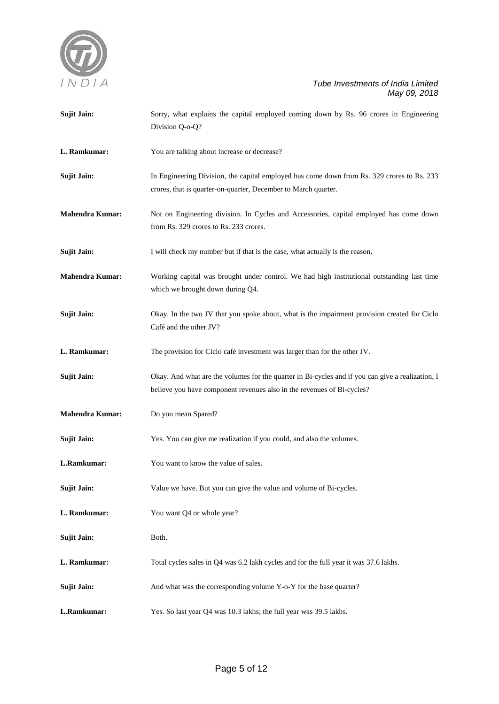

| <b>Sujit Jain:</b>     | Sorry, what explains the capital employed coming down by Rs. 96 crores in Engineering<br>Division Q-o-Q?                                                                   |  |
|------------------------|----------------------------------------------------------------------------------------------------------------------------------------------------------------------------|--|
| L. Ramkumar:           | You are talking about increase or decrease?                                                                                                                                |  |
| <b>Sujit Jain:</b>     | In Engineering Division, the capital employed has come down from Rs. 329 crores to Rs. 233<br>crores, that is quarter-on-quarter, December to March quarter.               |  |
| <b>Mahendra Kumar:</b> | Not on Engineering division. In Cycles and Accessories, capital employed has come down<br>from Rs. 329 crores to Rs. 233 crores.                                           |  |
| <b>Sujit Jain:</b>     | I will check my number but if that is the case, what actually is the reason.                                                                                               |  |
| <b>Mahendra Kumar:</b> | Working capital was brought under control. We had high institutional outstanding last time<br>which we brought down during Q4.                                             |  |
| <b>Sujit Jain:</b>     | Okay. In the two JV that you spoke about, what is the impairment provision created for Ciclo<br>Café and the other JV?                                                     |  |
| L. Ramkumar:           | The provision for Ciclo café investment was larger than for the other JV.                                                                                                  |  |
| <b>Sujit Jain:</b>     | Okay. And what are the volumes for the quarter in Bi-cycles and if you can give a realization, I<br>believe you have component revenues also in the revenues of Bi-cycles? |  |
| <b>Mahendra Kumar:</b> | Do you mean Spared?                                                                                                                                                        |  |
| <b>Sujit Jain:</b>     | Yes. You can give me realization if you could, and also the volumes.                                                                                                       |  |
| L.Ramkumar:            | You want to know the value of sales.                                                                                                                                       |  |
| <b>Sujit Jain:</b>     | Value we have. But you can give the value and volume of Bi-cycles.                                                                                                         |  |
| L. Ramkumar:           | You want Q4 or whole year?                                                                                                                                                 |  |
| <b>Sujit Jain:</b>     | Both.                                                                                                                                                                      |  |
| L. Ramkumar:           | Total cycles sales in Q4 was 6.2 lakh cycles and for the full year it was 37.6 lakhs.                                                                                      |  |
| <b>Sujit Jain:</b>     | And what was the corresponding volume Y-o-Y for the base quarter?                                                                                                          |  |
| L.Ramkumar:            | Yes. So last year Q4 was 10.3 lakhs; the full year was 39.5 lakhs.                                                                                                         |  |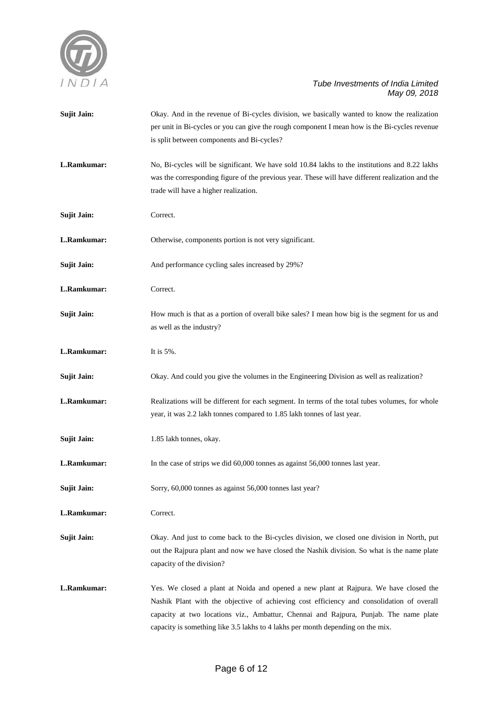

| <b>Sujit Jain:</b> | Okay. And in the revenue of Bi-cycles division, we basically wanted to know the realization<br>per unit in Bi-cycles or you can give the rough component I mean how is the Bi-cycles revenue<br>is split between components and Bi-cycles?                                                                                                                     |  |
|--------------------|----------------------------------------------------------------------------------------------------------------------------------------------------------------------------------------------------------------------------------------------------------------------------------------------------------------------------------------------------------------|--|
| L.Ramkumar:        | No, Bi-cycles will be significant. We have sold 10.84 lakhs to the institutions and 8.22 lakhs<br>was the corresponding figure of the previous year. These will have different realization and the<br>trade will have a higher realization.                                                                                                                    |  |
| <b>Sujit Jain:</b> | Correct.                                                                                                                                                                                                                                                                                                                                                       |  |
| L.Ramkumar:        | Otherwise, components portion is not very significant.                                                                                                                                                                                                                                                                                                         |  |
| <b>Sujit Jain:</b> | And performance cycling sales increased by 29%?                                                                                                                                                                                                                                                                                                                |  |
| L.Ramkumar:        | Correct.                                                                                                                                                                                                                                                                                                                                                       |  |
| <b>Sujit Jain:</b> | How much is that as a portion of overall bike sales? I mean how big is the segment for us and<br>as well as the industry?                                                                                                                                                                                                                                      |  |
| L.Ramkumar:        | It is $5\%$ .                                                                                                                                                                                                                                                                                                                                                  |  |
| <b>Sujit Jain:</b> | Okay. And could you give the volumes in the Engineering Division as well as realization?                                                                                                                                                                                                                                                                       |  |
| L.Ramkumar:        | Realizations will be different for each segment. In terms of the total tubes volumes, for whole<br>year, it was 2.2 lakh tonnes compared to 1.85 lakh tonnes of last year.                                                                                                                                                                                     |  |
| <b>Sujit Jain:</b> | 1.85 lakh tonnes, okay.                                                                                                                                                                                                                                                                                                                                        |  |
| L.Ramkumar:        | In the case of strips we did 60,000 tonnes as against 56,000 tonnes last year.                                                                                                                                                                                                                                                                                 |  |
| <b>Sujit Jain:</b> | Sorry, 60,000 tonnes as against 56,000 tonnes last year?                                                                                                                                                                                                                                                                                                       |  |
| L.Ramkumar:        | Correct.                                                                                                                                                                                                                                                                                                                                                       |  |
| <b>Sujit Jain:</b> | Okay. And just to come back to the Bi-cycles division, we closed one division in North, put<br>out the Rajpura plant and now we have closed the Nashik division. So what is the name plate<br>capacity of the division?                                                                                                                                        |  |
| L.Ramkumar:        | Yes. We closed a plant at Noida and opened a new plant at Rajpura. We have closed the<br>Nashik Plant with the objective of achieving cost efficiency and consolidation of overall<br>capacity at two locations viz., Ambattur, Chennai and Rajpura, Punjab. The name plate<br>capacity is something like 3.5 lakhs to 4 lakhs per month depending on the mix. |  |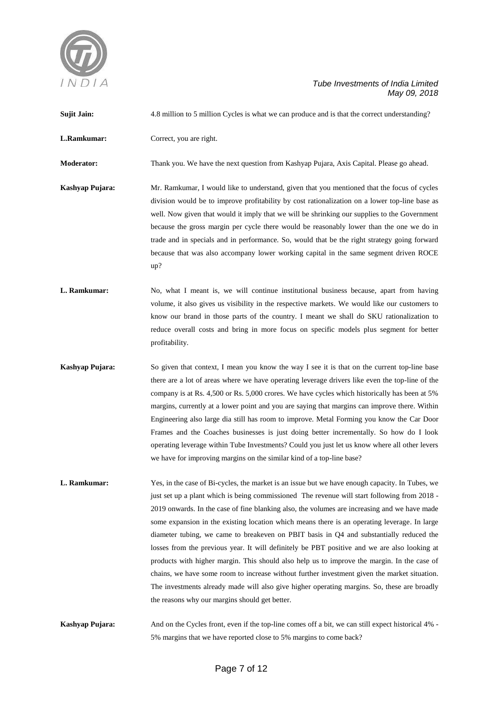

| <b>Sujit Jain:</b> | 4.8 million to 5 million Cycles is what we can produce and is that the correct understanding?                                                                                                                                                                                                                                                                                                                                                                                                                                                                                                                                                                                                                                                                                                                                                                                                                                              |  |  |
|--------------------|--------------------------------------------------------------------------------------------------------------------------------------------------------------------------------------------------------------------------------------------------------------------------------------------------------------------------------------------------------------------------------------------------------------------------------------------------------------------------------------------------------------------------------------------------------------------------------------------------------------------------------------------------------------------------------------------------------------------------------------------------------------------------------------------------------------------------------------------------------------------------------------------------------------------------------------------|--|--|
| L.Ramkumar:        | Correct, you are right.                                                                                                                                                                                                                                                                                                                                                                                                                                                                                                                                                                                                                                                                                                                                                                                                                                                                                                                    |  |  |
| <b>Moderator:</b>  | Thank you. We have the next question from Kashyap Pujara, Axis Capital. Please go ahead.                                                                                                                                                                                                                                                                                                                                                                                                                                                                                                                                                                                                                                                                                                                                                                                                                                                   |  |  |
| Kashyap Pujara:    | Mr. Ramkumar, I would like to understand, given that you mentioned that the focus of cycles<br>division would be to improve profitability by cost rationalization on a lower top-line base as<br>well. Now given that would it imply that we will be shrinking our supplies to the Government<br>because the gross margin per cycle there would be reasonably lower than the one we do in<br>trade and in specials and in performance. So, would that be the right strategy going forward<br>because that was also accompany lower working capital in the same segment driven ROCE<br>up?                                                                                                                                                                                                                                                                                                                                                  |  |  |
| L. Ramkumar:       | No, what I meant is, we will continue institutional business because, apart from having<br>volume, it also gives us visibility in the respective markets. We would like our customers to<br>know our brand in those parts of the country. I meant we shall do SKU rationalization to<br>reduce overall costs and bring in more focus on specific models plus segment for better<br>profitability.                                                                                                                                                                                                                                                                                                                                                                                                                                                                                                                                          |  |  |
| Kashyap Pujara:    | So given that context, I mean you know the way I see it is that on the current top-line base<br>there are a lot of areas where we have operating leverage drivers like even the top-line of the<br>company is at Rs. 4,500 or Rs. 5,000 crores. We have cycles which historically has been at 5%<br>margins, currently at a lower point and you are saying that margins can improve there. Within<br>Engineering also large dia still has room to improve. Metal Forming you know the Car Door<br>Frames and the Coaches businesses is just doing better incrementally. So how do I look<br>operating leverage within Tube Investments? Could you just let us know where all other levers<br>we have for improving margins on the similar kind of a top-line base?                                                                                                                                                                         |  |  |
| L. Ramkumar:       | Yes, in the case of Bi-cycles, the market is an issue but we have enough capacity. In Tubes, we<br>just set up a plant which is being commissioned The revenue will start following from 2018 -<br>2019 onwards. In the case of fine blanking also, the volumes are increasing and we have made<br>some expansion in the existing location which means there is an operating leverage. In large<br>diameter tubing, we came to breakeven on PBIT basis in Q4 and substantially reduced the<br>losses from the previous year. It will definitely be PBT positive and we are also looking at<br>products with higher margin. This should also help us to improve the margin. In the case of<br>chains, we have some room to increase without further investment given the market situation.<br>The investments already made will also give higher operating margins. So, these are broadly<br>the reasons why our margins should get better. |  |  |
| Kashyap Pujara:    | And on the Cycles front, even if the top-line comes off a bit, we can still expect historical 4% -<br>5% margins that we have reported close to 5% margins to come back?                                                                                                                                                                                                                                                                                                                                                                                                                                                                                                                                                                                                                                                                                                                                                                   |  |  |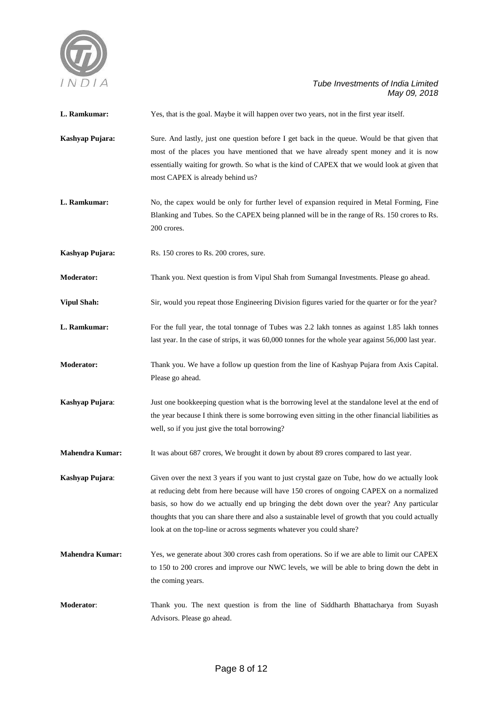

**L. Ramkumar:** Yes, that is the goal. Maybe it will happen over two years, not in the first year itself.

- **Kashyap Pujara:** Sure. And lastly, just one question before I get back in the queue. Would be that given that most of the places you have mentioned that we have already spent money and it is now essentially waiting for growth. So what is the kind of CAPEX that we would look at given that most CAPEX is already behind us?
- L. Ramkumar: No, the capex would be only for further level of expansion required in Metal Forming, Fine Blanking and Tubes. So the CAPEX being planned will be in the range of Rs. 150 crores to Rs. 200 crores.
- **Kashyap Pujara:** Rs. 150 crores to Rs. 200 crores, sure.
- **Moderator:** Thank you. Next question is from Vipul Shah from Sumangal Investments. Please go ahead.
- **Vipul Shah:** Sir, would you repeat those Engineering Division figures varied for the quarter or for the year?
- L. Ramkumar: For the full year, the total tonnage of Tubes was 2.2 lakh tonnes as against 1.85 lakh tonnes last year. In the case of strips, it was 60,000 tonnes for the whole year against 56,000 last year.
- **Moderator:** Thank you. We have a follow up question from the line of Kashyap Pujara from Axis Capital. Please go ahead.
- **Kashyap Pujara:** Just one bookkeeping question what is the borrowing level at the standalone level at the end of the year because I think there is some borrowing even sitting in the other financial liabilities as well, so if you just give the total borrowing?
- **Mahendra Kumar:** It was about 687 crores, We brought it down by about 89 crores compared to last year.

**Kashyap Pujara:** Given over the next 3 years if you want to just crystal gaze on Tube, how do we actually look at reducing debt from here because will have 150 crores of ongoing CAPEX on a normalized basis, so how do we actually end up bringing the debt down over the year? Any particular thoughts that you can share there and also a sustainable level of growth that you could actually look at on the top-line or across segments whatever you could share?

- **Mahendra Kumar:** Yes, we generate about 300 crores cash from operations. So if we are able to limit our CAPEX to 150 to 200 crores and improve our NWC levels, we will be able to bring down the debt in the coming years.
- **Moderator**: Thank you. The next question is from the line of Siddharth Bhattacharya from Suyash Advisors. Please go ahead.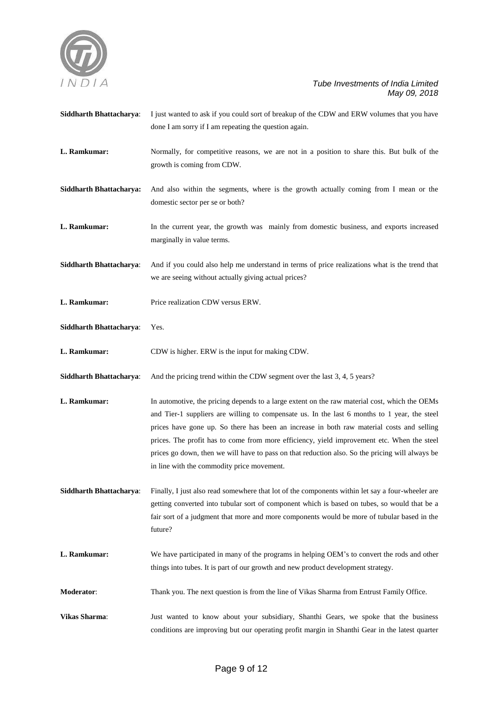

done I am sorry if I am repeating the question again. **L. Ramkumar:** Normally, for competitive reasons, we are not in a position to share this. But bulk of the growth is coming from CDW. **Siddharth Bhattacharya:** And also within the segments, where is the growth actually coming from I mean or the domestic sector per se or both? **L. Ramkumar:** In the current year, the growth was mainly from domestic business, and exports increased marginally in value terms. **Siddharth Bhattacharya**: And if you could also help me understand in terms of price realizations what is the trend that we are seeing without actually giving actual prices? **L. Ramkumar:** Price realization CDW versus ERW. **Siddharth Bhattacharya**: Yes. **L. Ramkumar:** CDW is higher. ERW is the input for making CDW. **Siddharth Bhattacharya**: And the pricing trend within the CDW segment over the last 3, 4, 5 years? **L. Ramkumar:** In automotive, the pricing depends to a large extent on the raw material cost, which the OEMs and Tier-1 suppliers are willing to compensate us. In the last 6 months to 1 year, the steel prices have gone up. So there has been an increase in both raw material costs and selling prices. The profit has to come from more efficiency, yield improvement etc. When the steel prices go down, then we will have to pass on that reduction also. So the pricing will always be in line with the commodity price movement. **Siddharth Bhattacharya**: Finally, I just also read somewhere that lot of the components within let say a four-wheeler are getting converted into tubular sort of component which is based on tubes, so would that be a fair sort of a judgment that more and more components would be more of tubular based in the future? **L. Ramkumar:** We have participated in many of the programs in helping OEM's to convert the rods and other

**Siddharth Bhattacharya**: I just wanted to ask if you could sort of breakup of the CDW and ERW volumes that you have

**Moderator**: Thank you. The next question is from the line of Vikas Sharma from Entrust Family Office.

things into tubes. It is part of our growth and new product development strategy.

**Vikas Sharma**: Just wanted to know about your subsidiary, Shanthi Gears, we spoke that the business conditions are improving but our operating profit margin in Shanthi Gear in the latest quarter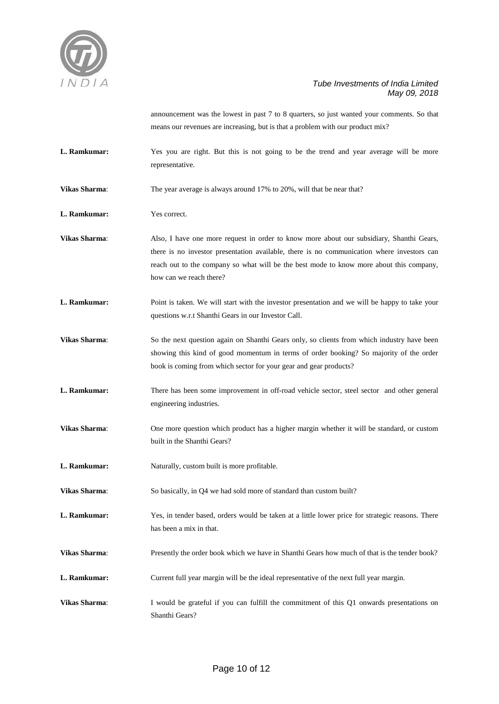

announcement was the lowest in past 7 to 8 quarters, so just wanted your comments. So that means our revenues are increasing, but is that a problem with our product mix?

- L. Ramkumar: Yes you are right. But this is not going to be the trend and year average will be more representative.
- **Vikas Sharma:** The year average is always around 17% to 20%, will that be near that?
- **L. Ramkumar:** Yes correct.
- **Vikas Sharma**: Also, I have one more request in order to know more about our subsidiary, Shanthi Gears, there is no investor presentation available, there is no communication where investors can reach out to the company so what will be the best mode to know more about this company, how can we reach there?
- **L. Ramkumar:** Point is taken. We will start with the investor presentation and we will be happy to take your questions w.r.t Shanthi Gears in our Investor Call.
- **Vikas Sharma:** So the next question again on Shanthi Gears only, so clients from which industry have been showing this kind of good momentum in terms of order booking? So majority of the order book is coming from which sector for your gear and gear products?
- **L. Ramkumar:** There has been some improvement in off-road vehicle sector, steel sector and other general engineering industries.
- **Vikas Sharma**: One more question which product has a higher margin whether it will be standard, or custom built in the Shanthi Gears?
- **L. Ramkumar:** Naturally, custom built is more profitable.

**Vikas Sharma:** So basically, in Q4 we had sold more of standard than custom built?

- **L. Ramkumar:** Yes, in tender based, orders would be taken at a little lower price for strategic reasons. There has been a mix in that.
- **Vikas Sharma**: Presently the order book which we have in Shanthi Gears how much of that is the tender book?
- **L. Ramkumar:** Current full year margin will be the ideal representative of the next full year margin.
- **Vikas Sharma:** I would be grateful if you can fulfill the commitment of this Q1 onwards presentations on Shanthi Gears?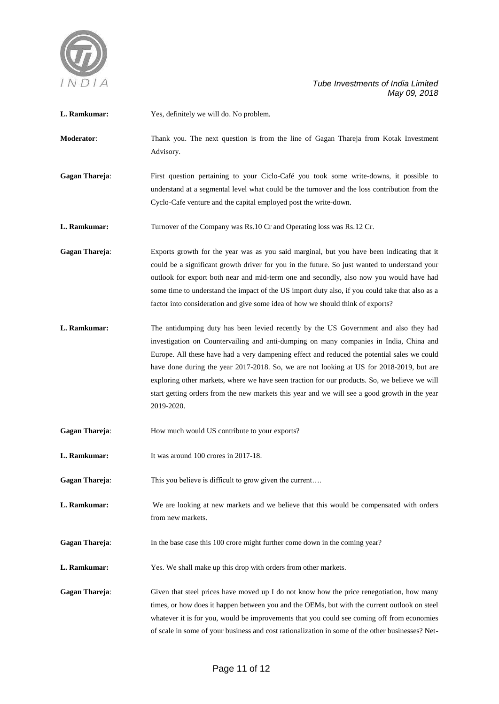

| L. Ramkumar: |  | Yes, definitely we will do. No problem. |
|--------------|--|-----------------------------------------|
|--------------|--|-----------------------------------------|

**Moderator**: Thank you. The next question is from the line of Gagan Thareja from Kotak Investment Advisory.

Gagan Thareja: First question pertaining to your Ciclo-Café you took some write-downs, it possible to understand at a segmental level what could be the turnover and the loss contribution from the Cyclo-Cafe venture and the capital employed post the write-down.

**L. Ramkumar:** Turnover of the Company was Rs.10 Cr and Operating loss was Rs.12 Cr.

**Gagan Thareja**: Exports growth for the year was as you said marginal, but you have been indicating that it could be a significant growth driver for you in the future. So just wanted to understand your outlook for export both near and mid-term one and secondly, also now you would have had some time to understand the impact of the US import duty also, if you could take that also as a factor into consideration and give some idea of how we should think of exports?

**L. Ramkumar:** The antidumping duty has been levied recently by the US Government and also they had investigation on Countervailing and anti-dumping on many companies in India, China and Europe. All these have had a very dampening effect and reduced the potential sales we could have done during the year 2017-2018. So, we are not looking at US for 2018-2019, but are exploring other markets, where we have seen traction for our products. So, we believe we will start getting orders from the new markets this year and we will see a good growth in the year 2019-2020.

Gagan Thareja: How much would US contribute to your exports?

**L. Ramkumar:** It was around 100 crores in 2017-18.

**Gagan Thareja:** This you believe is difficult to grow given the current...

**L. Ramkumar:** We are looking at new markets and we believe that this would be compensated with orders from new markets.

Gagan Thareja: In the base case this 100 crore might further come down in the coming year?

**L. Ramkumar:** Yes. We shall make up this drop with orders from other markets.

**Gagan Thareja:** Given that steel prices have moved up I do not know how the price renegotiation, how many times, or how does it happen between you and the OEMs, but with the current outlook on steel whatever it is for you, would be improvements that you could see coming off from economies of scale in some of your business and cost rationalization in some of the other businesses? Net-